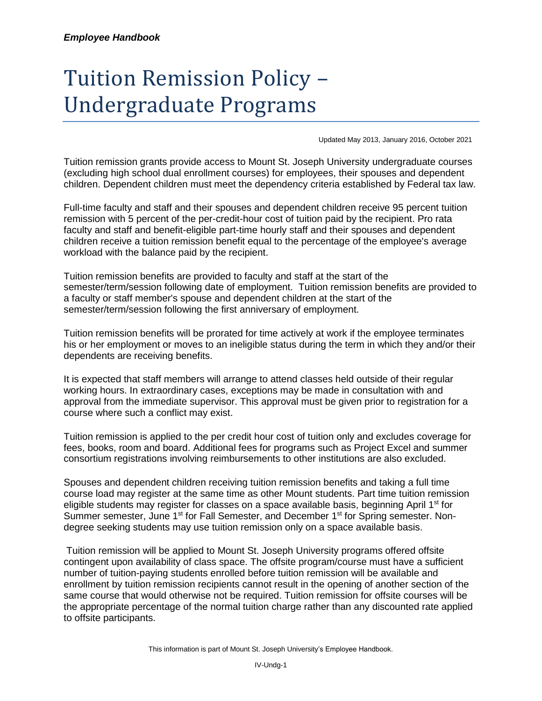## Tuition Remission Policy – Undergraduate Programs

Updated May 2013, January 2016, October 2021

Tuition remission grants provide access to Mount St. Joseph University undergraduate courses (excluding high school dual enrollment courses) for employees, their spouses and dependent children. Dependent children must meet the dependency criteria established by Federal tax law.

Full-time faculty and staff and their spouses and dependent children receive 95 percent tuition remission with 5 percent of the per-credit-hour cost of tuition paid by the recipient. Pro rata faculty and staff and benefit-eligible part-time hourly staff and their spouses and dependent children receive a tuition remission benefit equal to the percentage of the employee's average workload with the balance paid by the recipient.

Tuition remission benefits are provided to faculty and staff at the start of the semester/term/session following date of employment. Tuition remission benefits are provided to a faculty or staff member's spouse and dependent children at the start of the semester/term/session following the first anniversary of employment.

Tuition remission benefits will be prorated for time actively at work if the employee terminates his or her employment or moves to an ineligible status during the term in which they and/or their dependents are receiving benefits.

It is expected that staff members will arrange to attend classes held outside of their regular working hours. In extraordinary cases, exceptions may be made in consultation with and approval from the immediate supervisor. This approval must be given prior to registration for a course where such a conflict may exist.

Tuition remission is applied to the per credit hour cost of tuition only and excludes coverage for fees, books, room and board. Additional fees for programs such as Project Excel and summer consortium registrations involving reimbursements to other institutions are also excluded.

Spouses and dependent children receiving tuition remission benefits and taking a full time course load may register at the same time as other Mount students. Part time tuition remission eligible students may register for classes on a space available basis, beginning April  $1<sup>st</sup>$  for Summer semester, June 1<sup>st</sup> for Fall Semester, and December 1<sup>st</sup> for Spring semester. Nondegree seeking students may use tuition remission only on a space available basis.

Tuition remission will be applied to Mount St. Joseph University programs offered offsite contingent upon availability of class space. The offsite program/course must have a sufficient number of tuition-paying students enrolled before tuition remission will be available and enrollment by tuition remission recipients cannot result in the opening of another section of the same course that would otherwise not be required. Tuition remission for offsite courses will be the appropriate percentage of the normal tuition charge rather than any discounted rate applied to offsite participants.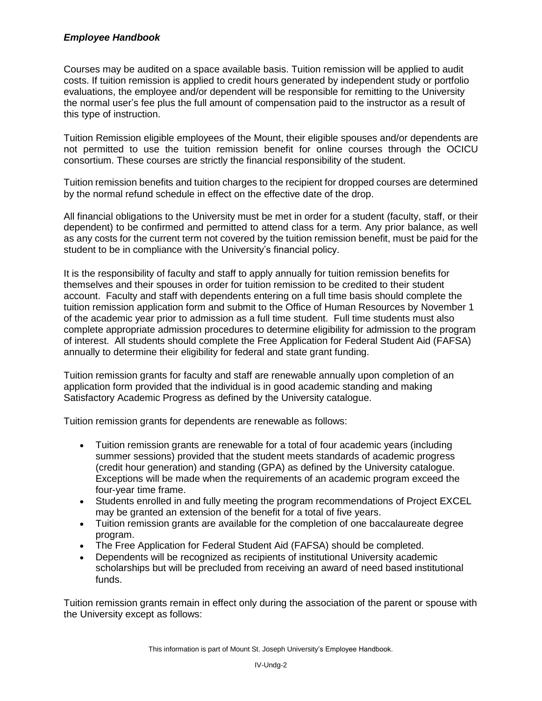## *Employee Handbook*

Courses may be audited on a space available basis. Tuition remission will be applied to audit costs. If tuition remission is applied to credit hours generated by independent study or portfolio evaluations, the employee and/or dependent will be responsible for remitting to the University the normal user's fee plus the full amount of compensation paid to the instructor as a result of this type of instruction.

Tuition Remission eligible employees of the Mount, their eligible spouses and/or dependents are not permitted to use the tuition remission benefit for online courses through the OCICU consortium. These courses are strictly the financial responsibility of the student.

Tuition remission benefits and tuition charges to the recipient for dropped courses are determined by the normal refund schedule in effect on the effective date of the drop.

All financial obligations to the University must be met in order for a student (faculty, staff, or their dependent) to be confirmed and permitted to attend class for a term. Any prior balance, as well as any costs for the current term not covered by the tuition remission benefit, must be paid for the student to be in compliance with the University's financial policy.

It is the responsibility of faculty and staff to apply annually for tuition remission benefits for themselves and their spouses in order for tuition remission to be credited to their student account. Faculty and staff with dependents entering on a full time basis should complete the tuition remission application form and submit to the Office of Human Resources by November 1 of the academic year prior to admission as a full time student. Full time students must also complete appropriate admission procedures to determine eligibility for admission to the program of interest. All students should complete the Free Application for Federal Student Aid (FAFSA) annually to determine their eligibility for federal and state grant funding.

Tuition remission grants for faculty and staff are renewable annually upon completion of an application form provided that the individual is in good academic standing and making Satisfactory Academic Progress as defined by the University catalogue.

Tuition remission grants for dependents are renewable as follows:

- Tuition remission grants are renewable for a total of four academic years (including summer sessions) provided that the student meets standards of academic progress (credit hour generation) and standing (GPA) as defined by the University catalogue. Exceptions will be made when the requirements of an academic program exceed the four-year time frame.
- Students enrolled in and fully meeting the program recommendations of Project EXCEL may be granted an extension of the benefit for a total of five years.
- Tuition remission grants are available for the completion of one baccalaureate degree program.
- The Free Application for Federal Student Aid (FAFSA) should be completed.
- Dependents will be recognized as recipients of institutional University academic scholarships but will be precluded from receiving an award of need based institutional funds.

Tuition remission grants remain in effect only during the association of the parent or spouse with the University except as follows: